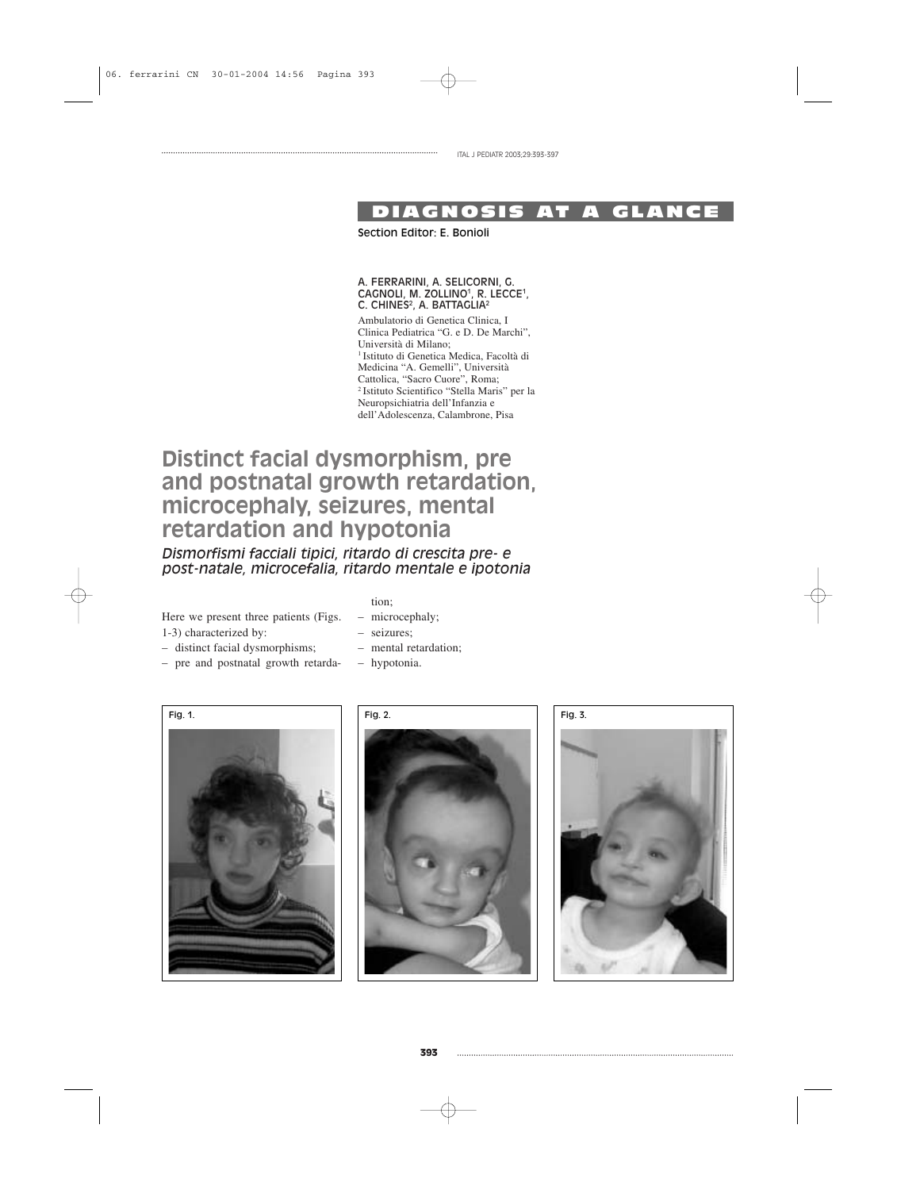ITAL J PEDIATR 2003;29:393-397

## DIAGNOSIS AT A GLANCE

Section Editor: E. Bonioli

#### A. FERRARINI, A. SELICORNI, G. CAGNOLI, M. ZOLLINO<sup>1</sup>, R. LECCE<sup>1</sup>, C. CHINES<sup>2</sup>, A. BATTAGLIA<sup>2</sup>

Ambulatorio di Genetica Clinica, I Clinica Pediatrica "G. e D. De Marchi", Università di Milano; 1 Istituto di Genetica Medica, Facoltà di Medicina "A. Gemelli", Università Cattolica, "Sacro Cuore", Roma; 2 Istituto Scientifico "Stella Maris" per la Neuropsichiatria dell'Infanzia e dell'Adolescenza, Calambrone, Pisa

# **Distinct facial dysmorphism, pre and postnatal growth retardation, microcephaly, seizures, mental retardation and hypotonia**

*Dismorfismi facciali tipici, ritardo di crescita pre- e post-natale, microcefalia, ritardo mentale e ipotonia*

Here we present three patients (Figs. 1-3) characterized by:

tion;

– hypotonia.

– microcephaly; – seizures;

– mental retardation;

- distinct facial dysmorphisms;
- pre and postnatal growth retarda-
	- Fig. 1. Fig. 2. Fig. 3.



**393**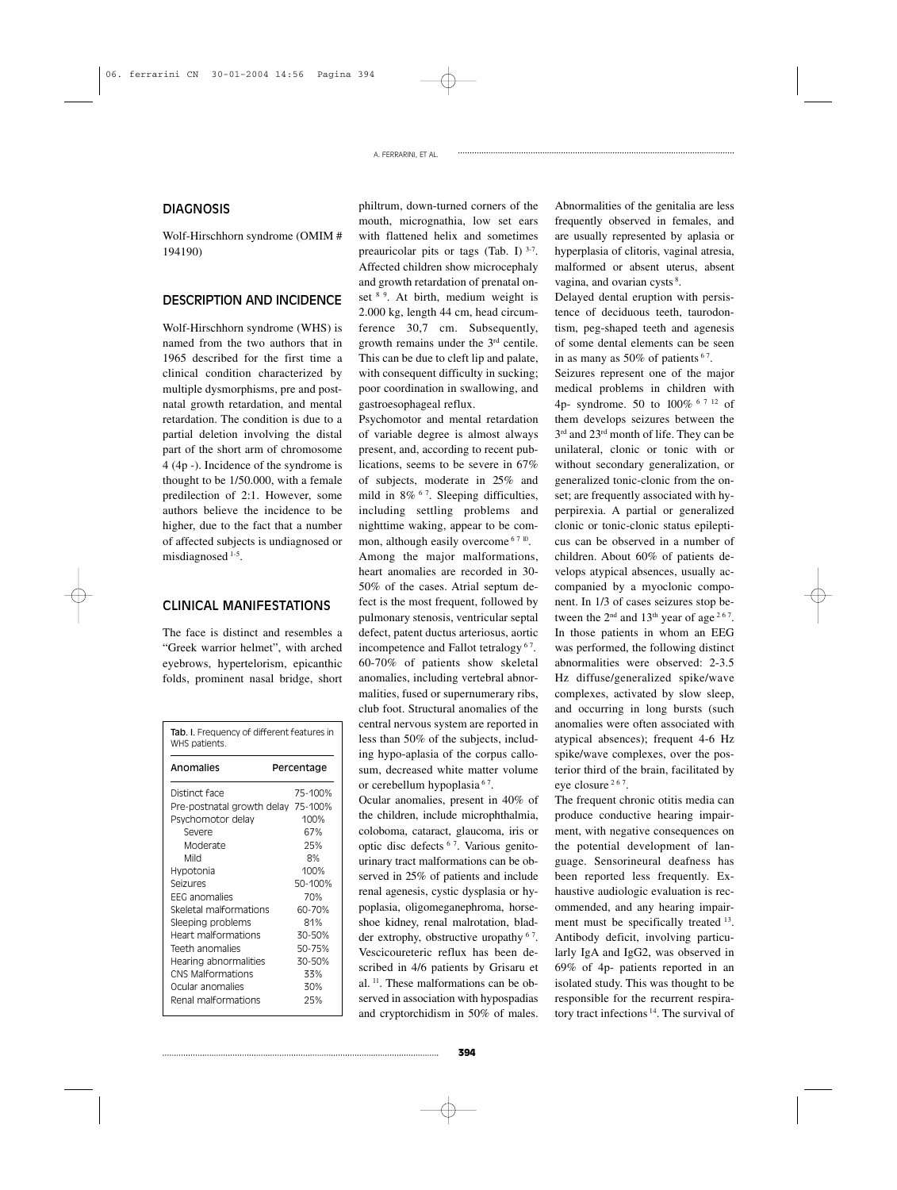A. FERRARINI, ET AL.

## **DIAGNOSIS**

Wolf-Hirschhorn syndrome (OMIM # 194190)

## DESCRIPTION AND INCIDENCE

Wolf-Hirschhorn syndrome (WHS) is named from the two authors that in 1965 described for the first time a clinical condition characterized by multiple dysmorphisms, pre and postnatal growth retardation, and mental retardation. The condition is due to a partial deletion involving the distal part of the short arm of chromosome 4 (4p -). Incidence of the syndrome is thought to be 1/50.000, with a female predilection of 2:1. However, some authors believe the incidence to be higher, due to the fact that a number of affected subjects is undiagnosed or misdiagnosed 1-5.

## CLINICAL MANIFESTATIONS

The face is distinct and resembles a "Greek warrior helmet", with arched eyebrows, hypertelorism, epicanthic folds, prominent nasal bridge, short

| Tab. I. Frequency of different features in<br>WHS patients. |            |         |
|-------------------------------------------------------------|------------|---------|
| Anomalies                                                   | Percentage |         |
| Distinct face                                               |            | 75-100% |
| Pre-postnatal growth delay 75-100%                          |            |         |
| Psychomotor delay                                           |            | 100%    |
| Severe                                                      |            | 67%     |
| Moderate                                                    |            | 25%     |
| Mild                                                        |            | 8%      |
| Hypotonia                                                   |            | 100%    |
| Seizures                                                    |            | 50-100% |
| <b>FFG</b> anomalies                                        |            | 70%     |
| Skeletal malformations                                      |            | 60-70%  |
| Sleeping problems                                           |            | 81%     |
| Heart malformations                                         |            | 30-50%  |
| Teeth anomalies                                             |            | 50-75%  |
| Hearing abnormalities                                       |            | 30-50%  |
| CNS Malformations                                           |            | 33%     |
| Ocular anomalies                                            |            | 30%     |
| Renal malformations                                         |            | 25%     |
|                                                             |            |         |

philtrum, down-turned corners of the mouth, micrognathia, low set ears with flattened helix and sometimes preauricolar pits or tags (Tab. I)  $3-7$ . Affected children show microcephaly and growth retardation of prenatal onset <sup>8 9</sup>. At birth, medium weight is 2.000 kg, length 44 cm, head circumference 30,7 cm. Subsequently, growth remains under the 3rd centile. This can be due to cleft lip and palate, with consequent difficulty in sucking; poor coordination in swallowing, and gastroesophageal reflux.

Psychomotor and mental retardation of variable degree is almost always present, and, according to recent publications, seems to be severe in 67% of subjects, moderate in 25% and mild in 8% 6 7. Sleeping difficulties, including settling problems and nighttime waking, appear to be common, although easily overcome  $6710$ . Among the major malformations, heart anomalies are recorded in 30- 50% of the cases. Atrial septum defect is the most frequent, followed by pulmonary stenosis, ventricular septal defect, patent ductus arteriosus, aortic incompetence and Fallot tetralogy<sup>67</sup>. 60-70% of patients show skeletal anomalies, including vertebral abnormalities, fused or supernumerary ribs, club foot. Structural anomalies of the central nervous system are reported in less than 50% of the subjects, including hypo-aplasia of the corpus callosum, decreased white matter volume or cerebellum hypoplasia<sup>67</sup>.

Ocular anomalies, present in 40% of the children, include microphthalmia, coloboma, cataract, glaucoma, iris or optic disc defects 6 7. Various genitourinary tract malformations can be observed in 25% of patients and include renal agenesis, cystic dysplasia or hypoplasia, oligomeganephroma, horseshoe kidney, renal malrotation, bladder extrophy, obstructive uropathy <sup>67</sup>. Vescicoureteric reflux has been described in 4/6 patients by Grisaru et al. 11. These malformations can be observed in association with hypospadias and cryptorchidism in 50% of males. Abnormalities of the genitalia are less frequently observed in females, and are usually represented by aplasia or hyperplasia of clitoris, vaginal atresia, malformed or absent uterus, absent vagina, and ovarian cysts<sup>8</sup>.

Delayed dental eruption with persistence of deciduous teeth, taurodontism, peg-shaped teeth and agenesis of some dental elements can be seen in as many as  $50\%$  of patients  $67$ .

Seizures represent one of the major medical problems in children with 4p- syndrome. 50 to 100% 6 7 12 of them develops seizures between the 3<sup>rd</sup> and 23<sup>rd</sup> month of life. They can be unilateral, clonic or tonic with or without secondary generalization, or generalized tonic-clonic from the onset; are frequently associated with hyperpirexia. A partial or generalized clonic or tonic-clonic status epilepticus can be observed in a number of children. About 60% of patients develops atypical absences, usually accompanied by a myoclonic component. In 1/3 of cases seizures stop between the  $2<sup>nd</sup>$  and  $13<sup>th</sup>$  year of age<sup>267</sup>. In those patients in whom an EEG was performed, the following distinct abnormalities were observed: 2-3.5 Hz diffuse/generalized spike/wave complexes, activated by slow sleep, and occurring in long bursts (such anomalies were often associated with atypical absences); frequent 4-6 Hz spike/wave complexes, over the posterior third of the brain, facilitated by eye closure 2 6 7.

The frequent chronic otitis media can produce conductive hearing impairment, with negative consequences on the potential development of language. Sensorineural deafness has been reported less frequently. Exhaustive audiologic evaluation is recommended, and any hearing impairment must be specifically treated <sup>13</sup>. Antibody deficit, involving particularly IgA and IgG2, was observed in 69% of 4p- patients reported in an isolated study. This was thought to be responsible for the recurrent respiratory tract infections 14. The survival of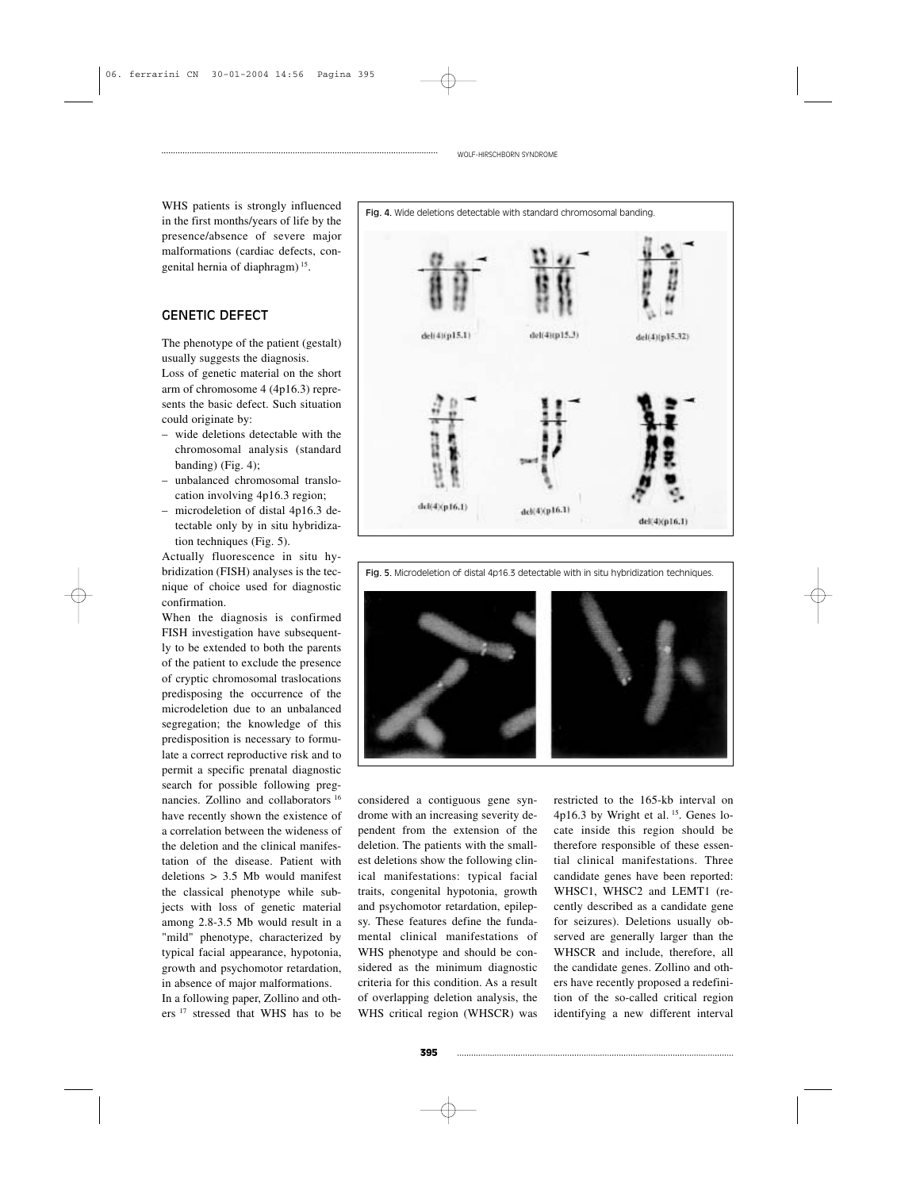WHS patients is strongly influenced in the first months/years of life by the presence/absence of severe major malformations (cardiac defects, congenital hernia of diaphragm) 15.

## GENETIC DEFECT

The phenotype of the patient (gestalt) usually suggests the diagnosis.

Loss of genetic material on the short arm of chromosome 4 (4p16.3) represents the basic defect. Such situation could originate by:

- wide deletions detectable with the chromosomal analysis (standard banding) (Fig. 4);
- unbalanced chromosomal translocation involving 4p16.3 region;
- microdeletion of distal 4p16.3 detectable only by in situ hybridization techniques (Fig. 5).

Actually fluorescence in situ hybridization (FISH) analyses is the tecnique of choice used for diagnostic confirmation.

When the diagnosis is confirmed FISH investigation have subsequently to be extended to both the parents of the patient to exclude the presence of cryptic chromosomal traslocations predisposing the occurrence of the microdeletion due to an unbalanced segregation; the knowledge of this predisposition is necessary to formulate a correct reproductive risk and to permit a specific prenatal diagnostic search for possible following pregnancies. Zollino and collaborators <sup>16</sup> have recently shown the existence of a correlation between the wideness of the deletion and the clinical manifestation of the disease. Patient with deletions > 3.5 Mb would manifest the classical phenotype while subjects with loss of genetic material among 2.8-3.5 Mb would result in a "mild" phenotype, characterized by typical facial appearance, hypotonia, growth and psychomotor retardation, in absence of major malformations.

In a following paper, Zollino and others<sup>17</sup> stressed that WHS has to be



WOLF-HIRSCHBORN SYNDROME

Fig. 4. Wide deletions detectable with standard chromosomal banding.





considered a contiguous gene syndrome with an increasing severity dependent from the extension of the deletion. The patients with the smallest deletions show the following clinical manifestations: typical facial traits, congenital hypotonia, growth and psychomotor retardation, epilepsy. These features define the fundamental clinical manifestations of WHS phenotype and should be considered as the minimum diagnostic criteria for this condition. As a result of overlapping deletion analysis, the WHS critical region (WHSCR) was restricted to the 165-kb interval on 4p16.3 by Wright et al. <sup>15</sup>. Genes locate inside this region should be therefore responsible of these essential clinical manifestations. Three candidate genes have been reported: WHSC1, WHSC2 and LEMT1 (recently described as a candidate gene for seizures). Deletions usually observed are generally larger than the WHSCR and include, therefore, all the candidate genes. Zollino and others have recently proposed a redefinition of the so-called critical region identifying a new different interval

#### Fig. 5. Microdeletion of distal 4p16.3 detectable with in situ hybridization techniques.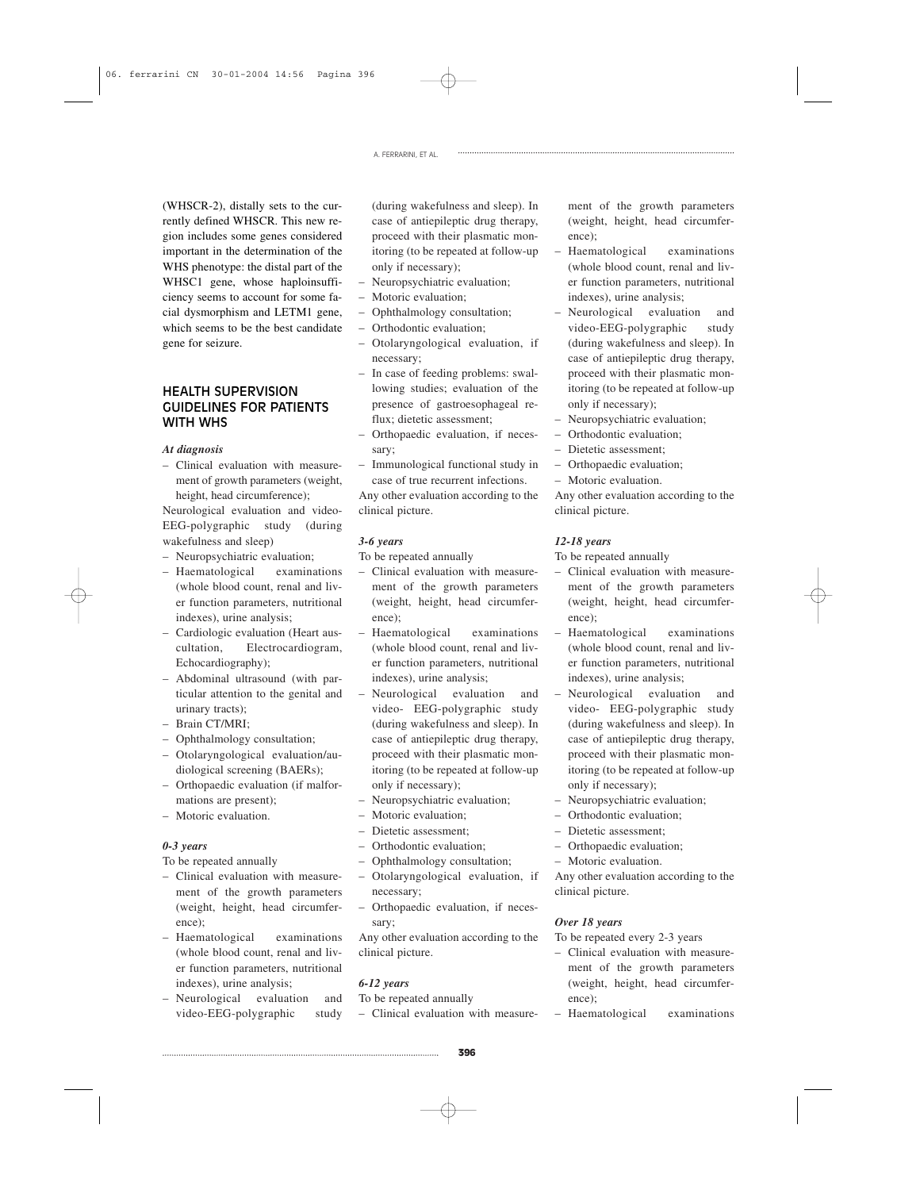A. FERRARINI, ET AL.

(WHSCR-2), distally sets to the currently defined WHSCR. This new region includes some genes considered important in the determination of the WHS phenotype: the distal part of the WHSC1 gene, whose haploinsufficiency seems to account for some facial dysmorphism and LETM1 gene, which seems to be the best candidate gene for seizure.

## HEALTH SUPERVISION GUIDELINES FOR PATIENTS WITH WHS

#### *At diagnosis*

– Clinical evaluation with measurement of growth parameters (weight, height, head circumference);

Neurological evaluation and video-EEG-polygraphic study (during wakefulness and sleep)

- Neuropsychiatric evaluation;
- Haematological examinations (whole blood count, renal and liver function parameters, nutritional indexes), urine analysis;
- Cardiologic evaluation (Heart auscultation, Electrocardiogram, Echocardiography);
- Abdominal ultrasound (with particular attention to the genital and urinary tracts);
- Brain CT/MRI;
- Ophthalmology consultation;
- Otolaryngological evaluation/audiological screening (BAERs);
- Orthopaedic evaluation (if malformations are present);
- Motoric evaluation.

#### *0-3 years*

To be repeated annually

- Clinical evaluation with measurement of the growth parameters (weight, height, head circumference);
- Haematological examinations (whole blood count, renal and liver function parameters, nutritional indexes), urine analysis;
- Neurological evaluation and video-EEG-polygraphic study

(during wakefulness and sleep). In case of antiepileptic drug therapy, proceed with their plasmatic monitoring (to be repeated at follow-up only if necessary);

- Neuropsychiatric evaluation;
- Motoric evaluation;
- Ophthalmology consultation;
- Orthodontic evaluation;
- Otolaryngological evaluation, if necessary;
- In case of feeding problems: swallowing studies; evaluation of the presence of gastroesophageal reflux; dietetic assessment;
- Orthopaedic evaluation, if necessary;
- Immunological functional study in case of true recurrent infections.

Any other evaluation according to the clinical picture.

#### *3-6 years*

To be repeated annually

- Clinical evaluation with measurement of the growth parameters (weight, height, head circumference);
- Haematological examinations (whole blood count, renal and liver function parameters, nutritional indexes), urine analysis;
- Neurological evaluation and video- EEG-polygraphic study (during wakefulness and sleep). In case of antiepileptic drug therapy, proceed with their plasmatic monitoring (to be repeated at follow-up only if necessary);
- Neuropsychiatric evaluation;
- Motoric evaluation;
- Dietetic assessment;
- Orthodontic evaluation;
- Ophthalmology consultation;
- Otolaryngological evaluation, if necessary;
- Orthopaedic evaluation, if necessary;

Any other evaluation according to the clinical picture.

## *6-12 years*

To be repeated annually

– Clinical evaluation with measure-

ment of the growth parameters (weight, height, head circumference);

- Haematological examinations (whole blood count, renal and liver function parameters, nutritional indexes), urine analysis;
- Neurological evaluation and video-EEG-polygraphic study (during wakefulness and sleep). In case of antiepileptic drug therapy, proceed with their plasmatic monitoring (to be repeated at follow-up only if necessary);
- Neuropsychiatric evaluation;
- Orthodontic evaluation;
- Dietetic assessment;
- Orthopaedic evaluation;
- Motoric evaluation.

Any other evaluation according to the clinical picture.

## *12-18 years*

To be repeated annually

- Clinical evaluation with measurement of the growth parameters (weight, height, head circumference);
- Haematological examinations (whole blood count, renal and liver function parameters, nutritional indexes), urine analysis;
- Neurological evaluation and video- EEG-polygraphic study (during wakefulness and sleep). In case of antiepileptic drug therapy, proceed with their plasmatic monitoring (to be repeated at follow-up only if necessary);
- Neuropsychiatric evaluation;
- Orthodontic evaluation;
- Dietetic assessment;
- Orthopaedic evaluation;
- Motoric evaluation.

Any other evaluation according to the clinical picture.

## *Over 18 years*

To be repeated every 2-3 years

- Clinical evaluation with measurement of the growth parameters (weight, height, head circumference);
- Haematological examinations